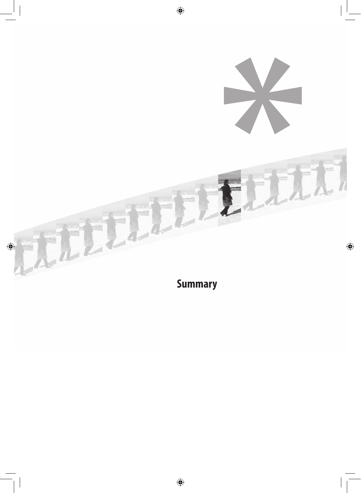

**Summary**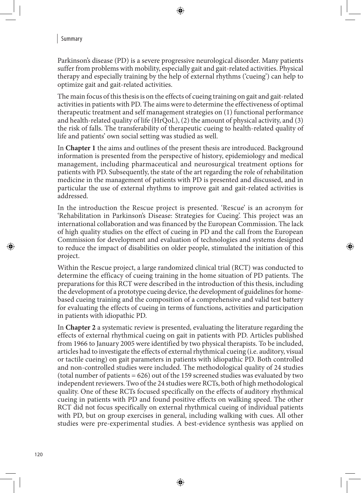## ↔

## Summary

Parkinson's disease (PD) is a severe progressive neurological disorder. Many patients suffer from problems with mobility, especially gait and gait-related activities. Physical therapy and especially training by the help of external rhythms ('cueing') can help to optimize gait and gait-related activities.

The main focus of this thesis is on the effects of cueing training on gait and gait-related activities in patients with PD. The aims were to determine the effectiveness of optimal therapeutic treatment and self management strategies on (1) functional performance and health-related quality of life (HrQoL), (2) the amount of physical activity, and (3) the risk of falls. The transferability of therapeutic cueing to health-related quality of life and patients' own social setting was studied as well.

In **Chapter 1** the aims and outlines of the present thesis are introduced. Background information is presented from the perspective of history, epidemiology and medical management, including pharmaceutical and neurosurgical treatment options for patients with PD. Subsequently, the state of the art regarding the role of rehabilitation medicine in the management of patients with PD is presented and discussed, and in particular the use of external rhythms to improve gait and gait-related activities is addressed.

In the introduction the Rescue project is presented. 'Rescue' is an acronym for 'Rehabilitation in Parkinson's Disease: Strategies for Cueing'. This project was an international collaboration and was financed by the European Commission. The lack of high quality studies on the effect of cueing in PD and the call from the European Commission for development and evaluation of technologies and systems designed to reduce the impact of disabilities on older people, stimulated the initiation of this project.

⊕

Within the Rescue project, a large randomized clinical trial (RCT) was conducted to determine the efficacy of cueing training in the home situation of PD patients. The preparations for this RCT were described in the introduction of this thesis, including the development of a prototype cueing device, the development of guidelines for homebased cueing training and the composition of a comprehensive and valid test battery for evaluating the effects of cueing in terms of functions, activities and participation in patients with idiopathic PD.

In **Chapter 2** a systematic review is presented, evaluating the literature regarding the effects of external rhythmical cueing on gait in patients with PD. Articles published from 1966 to January 2005 were identified by two physical therapists. To be included, articles had to investigate the effects of external rhythmical cueing (i.e. auditory, visual or tactile cueing) on gait parameters in patients with idiopathic PD. Both controlled and non-controlled studies were included. The methodological quality of 24 studies (total number of patients = 626) out of the 159 screened studies was evaluated by two independent reviewers. Two of the 24 studies were RCTs, both of high methodological quality. One of these RCTs focused specifically on the effects of auditory rhythmical cueing in patients with PD and found positive effects on walking speed. The other RCT did not focus specifically on external rhythmical cueing of individual patients with PD, but on group exercises in general, including walking with cues. All other studies were pre-experimental studies. A best-evidence synthesis was applied on

◈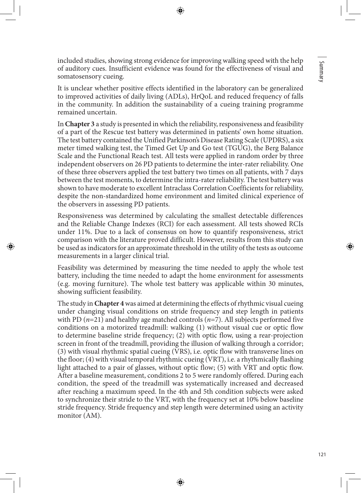Summary 121 Summary

⊕

◈

included studies, showing strong evidence for improving walking speed with the help of auditory cues. Insufficient evidence was found for the effectiveness of visual and somatosensory cueing.

It is unclear whether positive effects identified in the laboratory can be generalized to improved activities of daily living (ADLs), HrQoL and reduced frequency of falls in the community. In addition the sustainability of a cueing training programme remained uncertain.

In **Chapter 3** a study is presented in which the reliability, responsiveness and feasibility of a part of the Rescue test battery was determined in patients' own home situation. The test battery contained the Unified Parkinson's Disease Rating Scale (UPDRS), a six meter timed walking test, the Timed Get Up and Go test (TGUG), the Berg Balance Scale and the Functional Reach test. All tests were applied in random order by three independent observers on 26 PD patients to determine the inter-rater reliability. One of these three observers applied the test battery two times on all patients, with 7 days between the test moments, to determine the intra-rater reliability. The test battery was shown to have moderate to excellent Intraclass Correlation Coefficients for reliability, despite the non-standardized home environment and limited clinical experience of the observers in assessing PD patients.

Responsiveness was determined by calculating the smallest detectable differences and the Reliable Change Indexes (RCI) for each assessment. All tests showed RCIs under 11%. Due to a lack of consensus on how to quantify responsiveness, strict comparison with the literature proved difficult. However, results from this study can be used as indicators for an approximate threshold in the utility of the tests as outcome measurements in a larger clinical trial.

Feasibility was determined by measuring the time needed to apply the whole test battery, including the time needed to adapt the home environment for assessments (e.g. moving furniture). The whole test battery was applicable within 30 minutes, showing sufficient feasibility.

The study in **Chapter 4** was aimed at determining the effects of rhythmic visual cueing under changing visual conditions on stride frequency and step length in patients with PD (*n*=21) and healthy age matched controls (*n*=7). All subjects performed five conditions on a motorized treadmill: walking (1) without visual cue or optic flow to determine baseline stride frequency; (2) with optic flow, using a rear-projection screen in front of the treadmill, providing the illusion of walking through a corridor; (3) with visual rhythmic spatial cueing (VRS), i.e. optic flow with transverse lines on the floor; (4) with visual temporal rhythmic cueing (VRT), i.e. a rhythmically flashing light attached to a pair of glasses, without optic flow; (5) with VRT and optic flow. After a baseline measurement, conditions 2 to 5 were randomly offered. During each condition, the speed of the treadmill was systematically increased and decreased after reaching a maximum speed. In the 4th and 5th condition subjects were asked to synchronize their stride to the VRT, with the frequency set at 10% below baseline stride frequency. Stride frequency and step length were determined using an activity monitor (AM).

◈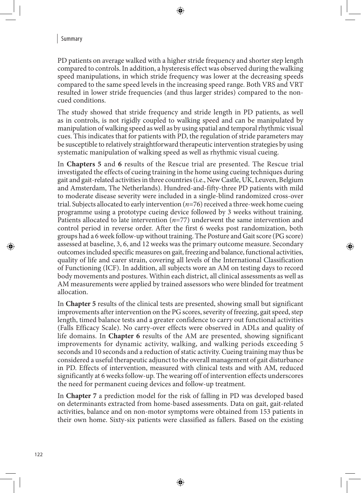## Summary

PD patients on average walked with a higher stride frequency and shorter step length compared to controls. In addition, a hysteresis effect was observed during the walking speed manipulations, in which stride frequency was lower at the decreasing speeds compared to the same speed levels in the increasing speed range. Both VRS and VRT resulted in lower stride frequencies (and thus larger strides) compared to the noncued conditions.

The study showed that stride frequency and stride length in PD patients, as well as in controls, is not rigidly coupled to walking speed and can be manipulated by manipulation of walking speed as well as by using spatial and temporal rhythmic visual cues. This indicates that for patients with PD, the regulation of stride parameters may be susceptible to relatively straightforward therapeutic intervention strategies by using systematic manipulation of walking speed as well as rhythmic visual cueing.

In **Chapters 5** and **6** results of the Rescue trial are presented. The Rescue trial investigated the effects of cueing training in the home using cueing techniques during gait and gait-related activities in three countries (i.e., New Castle, UK, Leuven, Belgium and Amsterdam, The Netherlands). Hundred-and-fifty-three PD patients with mild to moderate disease severity were included in a single-blind randomized cross-over trial. Subjects allocated to early intervention (*n*=76) received a three-week home cueing programme using a prototype cueing device followed by 3 weeks without training. Patients allocated to late intervention (*n*=77) underwent the same intervention and control period in reverse order. After the first 6 weeks post randomization, both groups had a 6 week follow-up without training. The Posture and Gait score (PG score) assessed at baseline, 3, 6, and 12 weeks was the primary outcome measure. Secondary outcomes included specific measures on gait, freezing and balance, functional activities, quality of life and carer strain, covering all levels of the International Classification of Functioning (ICF). In addition, all subjects wore an AM on testing days to record body movements and postures. Within each district, all clinical assessments as well as AM measurements were applied by trained assessors who were blinded for treatment allocation.

⊕

In **Chapter 5** results of the clinical tests are presented, showing small but significant improvements after intervention on the PG scores, severity of freezing, gait speed, step length, timed balance tests and a greater confidence to carry out functional activities (Falls Efficacy Scale). No carry-over effects were observed in ADLs and quality of life domains. In **Chapter 6** results of the AM are presented, showing significant improvements for dynamic activity, walking, and walking periods exceeding 5 seconds and 10 seconds and a reduction of static activity. Cueing training may thus be considered a useful therapeutic adjunct to the overall management of gait disturbance in PD. Effects of intervention, measured with clinical tests and with AM, reduced significantly at 6 weeks follow-up. The wearing off of intervention effects underscores the need for permanent cueing devices and follow-up treatment.

In **Chapter 7** a prediction model for the risk of falling in PD was developed based on determinants extracted from home-based assessments. Data on gait, gait-related activities, balance and on non-motor symptoms were obtained from 153 patients in their own home. Sixty-six patients were classified as fallers. Based on the existing

◈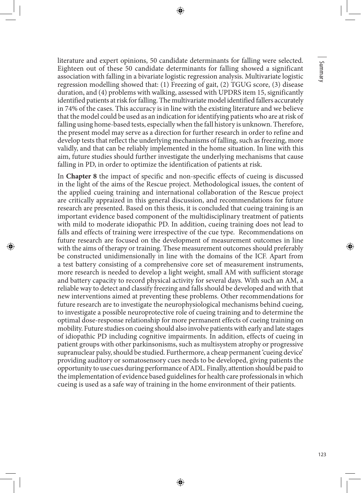◈

literature and expert opinions, 50 candidate determinants for falling were selected. Eighteen out of these 50 candidate determinants for falling showed a significant association with falling in a bivariate logistic regression analysis. Multivariate logistic regression modelling showed that: (1) Freezing of gait, (2) TGUG score, (3) disease duration, and (4) problems with walking, assessed with UPDRS item 15, significantly identified patients at risk for falling. The multivariate model identified fallers accurately in 74% of the cases. This accuracy is in line with the existing literature and we believe that the model could be used as an indication for identifying patients who are at risk of falling using home-based tests, especially when the fall history is unknown. Therefore, the present model may serve as a direction for further research in order to refine and develop tests that reflect the underlying mechanisms of falling, such as freezing, more validly, and that can be reliably implemented in the home situation. In line with this aim, future studies should further investigate the underlying mechanisms that cause falling in PD, in order to optimize the identification of patients at risk.

In **Chapter 8** the impact of specific and non-specific effects of cueing is discussed in the light of the aims of the Rescue project. Methodological issues, the content of the applied cueing training and international collaboration of the Rescue project are critically appraized in this general discussion, and recommendations for future research are presented. Based on this thesis, it is concluded that cueing training is an important evidence based component of the multidisciplinary treatment of patients with mild to moderate idiopathic PD. In addition, cueing training does not lead to falls and effects of training were irrespective of the cue type. Recommendations on future research are focused on the development of measurement outcomes in line with the aims of therapy or training. These measurement outcomes should preferably be constructed unidimensionally in line with the domains of the ICF. Apart from a test battery consisting of a comprehensive core set of measurement instruments, more research is needed to develop a light weight, small AM with sufficient storage and battery capacity to record physical activity for several days. With such an AM, a reliable way to detect and classify freezing and falls should be developed and with that new interventions aimed at preventing these problems. Other recommendations for future research are to investigate the neurophysiological mechanisms behind cueing, to investigate a possible neuroprotective role of cueing training and to determine the optimal dose-response relationship for more permanent effects of cueing training on mobility. Future studies on cueing should also involve patients with early and late stages of idiopathic PD including cognitive impairments. In addition, effects of cueing in patient groups with other parkinsonisms, such as multisystem atrophy or progressive supranuclear palsy, should be studied. Furthermore, a cheap permanent 'cueing device' providing auditory or somatosensory cues needs to be developed, giving patients the opportunity to use cues during performance of ADL. Finally, attention should be paid to the implementation of evidence based guidelines for health care professionals in which cueing is used as a safe way of training in the home environment of their patients.

◈

⊕